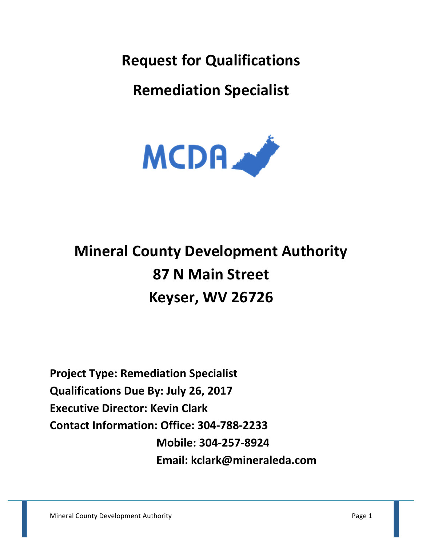**Request for Qualifications** 

**Remediation Specialist**



# **Mineral County Development Authority 87 N Main Street Keyser, WV 26726**

**Project Type: Remediation Specialist Qualifications Due By: July 26, 2017 Executive Director: Kevin Clark Contact Information: Office: 304-788-2233 Mobile: 304-257-8924 Email: kclark@mineraleda.com**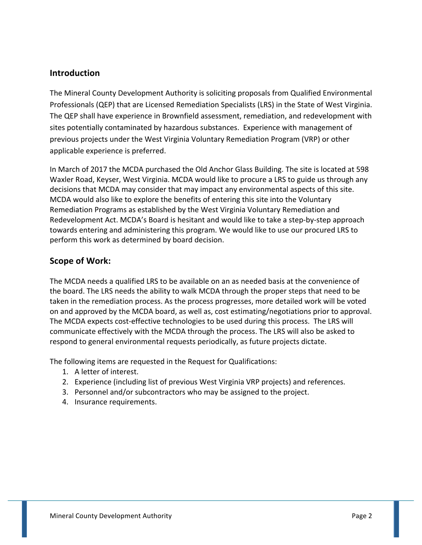### **Introduction**

The Mineral County Development Authority is soliciting proposals from Qualified Environmental Professionals (QEP) that are Licensed Remediation Specialists (LRS) in the State of West Virginia. The QEP shall have experience in Brownfield assessment, remediation, and redevelopment with sites potentially contaminated by hazardous substances. Experience with management of previous projects under the West Virginia Voluntary Remediation Program (VRP) or other applicable experience is preferred.

In March of 2017 the MCDA purchased the Old Anchor Glass Building. The site is located at 598 Waxler Road, Keyser, West Virginia. MCDA would like to procure a LRS to guide us through any decisions that MCDA may consider that may impact any environmental aspects of this site. MCDA would also like to explore the benefits of entering this site into the Voluntary Remediation Programs as established by the West Virginia Voluntary Remediation and Redevelopment Act. MCDA's Board is hesitant and would like to take a step-by-step approach towards entering and administering this program. We would like to use our procured LRS to perform this work as determined by board decision.

# **Scope of Work:**

The MCDA needs a qualified LRS to be available on an as needed basis at the convenience of the board. The LRS needs the ability to walk MCDA through the proper steps that need to be taken in the remediation process. As the process progresses, more detailed work will be voted on and approved by the MCDA board, as well as, cost estimating/negotiations prior to approval. The MCDA expects cost-effective technologies to be used during this process. The LRS will communicate effectively with the MCDA through the process. The LRS will also be asked to respond to general environmental requests periodically, as future projects dictate.

The following items are requested in the Request for Qualifications:

- 1. A letter of interest.
- 2. Experience (including list of previous West Virginia VRP projects) and references.
- 3. Personnel and/or subcontractors who may be assigned to the project.
- 4. Insurance requirements.